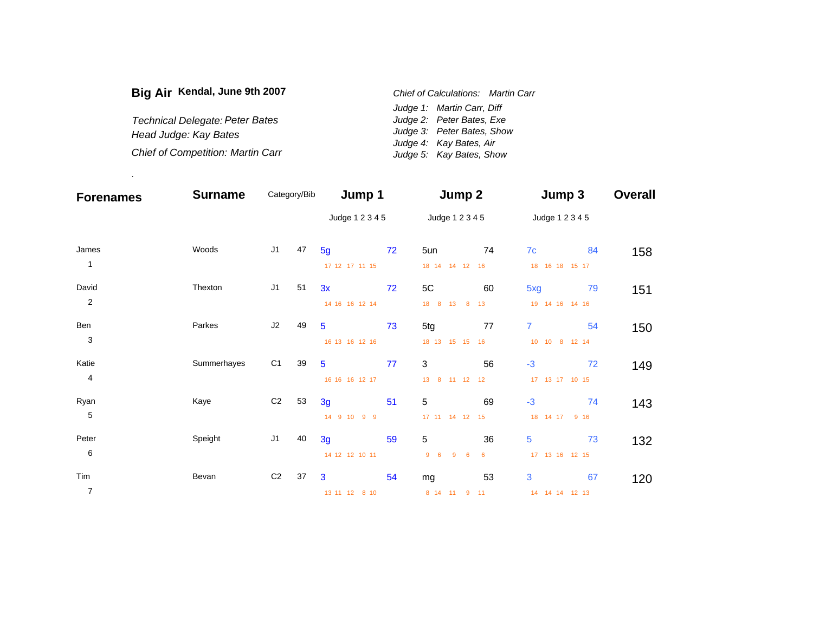| Big Air Kendal, June 9th 2007            | Chief of Calculations: Martin Carr |                            |  |  |
|------------------------------------------|------------------------------------|----------------------------|--|--|
|                                          |                                    | Judge 1: Martin Carr, Diff |  |  |
| Technical Delegate: Peter Bates          |                                    | Judge 2: Peter Bates, Exe  |  |  |
| Head Judge: Kay Bates                    |                                    | Judge 3: Peter Bates, Show |  |  |
|                                          |                                    | Judge 4: Kay Bates, Air    |  |  |
| <b>Chief of Competition: Martin Carr</b> |                                    | Judge 5: Kay Bates, Show   |  |  |

.

| <b>Forenames</b> | <b>Surname</b> |                | Category/Bib | Jump 1          |    | Jump 2                     |    | Jump 3               | <b>Overall</b> |
|------------------|----------------|----------------|--------------|-----------------|----|----------------------------|----|----------------------|----------------|
|                  |                |                |              | Judge 1 2 3 4 5 |    | Judge 1 2 3 4 5            |    | Judge 1 2 3 4 5      |                |
| James            | Woods          | J <sub>1</sub> | 47           | 5 <sub>g</sub>  | 72 | 5un                        | 74 | 7c<br>84             | 158            |
| $\mathbf{1}$     |                |                |              | 17 12 17 11 15  |    | 18 14 14 12 16             |    | 18  16  18  15  17   |                |
| David            | Thexton        | J1             | 51           | 3x              | 72 | $5C$                       | 60 | 79<br>5xg            | 151            |
| $\sqrt{2}$       |                |                |              | 14 16 16 12 14  |    | 18 8 13 8                  | 13 | 19  14  16  14  16   |                |
| Ben              | Parkes         | J2             | 49           | $\overline{5}$  | 73 | 5tg                        | 77 | $\overline{7}$<br>54 | 150            |
| $\sqrt{3}$       |                |                |              | 16 13 16 12 16  |    | 18 13 15 15 16             |    | 10 10 8 12 14        |                |
| Katie            | Summerhayes    | C <sub>1</sub> | 39           | $\overline{5}$  | 77 | $\mathbf{3}$               | 56 | $-3$<br>72           | 149            |
| 4                |                |                |              | 16 16 16 12 17  |    | 13 8 11 12 12              |    | 17  13  17  10  15   |                |
| Ryan             | Kaye           | C <sub>2</sub> | 53           | 3g              | 51 | $\sqrt{5}$                 | 69 | $-3$<br>74           | 143            |
| 5                |                |                |              | 14 9 10 9 9     |    | 17 11 14 12 15             |    | 18 14 17 9 16        |                |
| Peter            | Speight        | J1             | 40           | 3g              | 59 | 5                          | 36 | 5<br>73              | 132            |
| $\,6$            |                |                |              | 14 12 12 10 11  |    | 9<br>96<br>$6\overline{6}$ | 6  | 17  13  16  12  15   |                |
| Tim              | Bevan          | C <sub>2</sub> | 37           | 3               | 54 | mg                         | 53 | 3<br>67              | 120            |
| $\overline{7}$   |                |                |              | 13 11 12 8 10   |    | 8 14 11 9                  | 11 | 14  14  14  12  13   |                |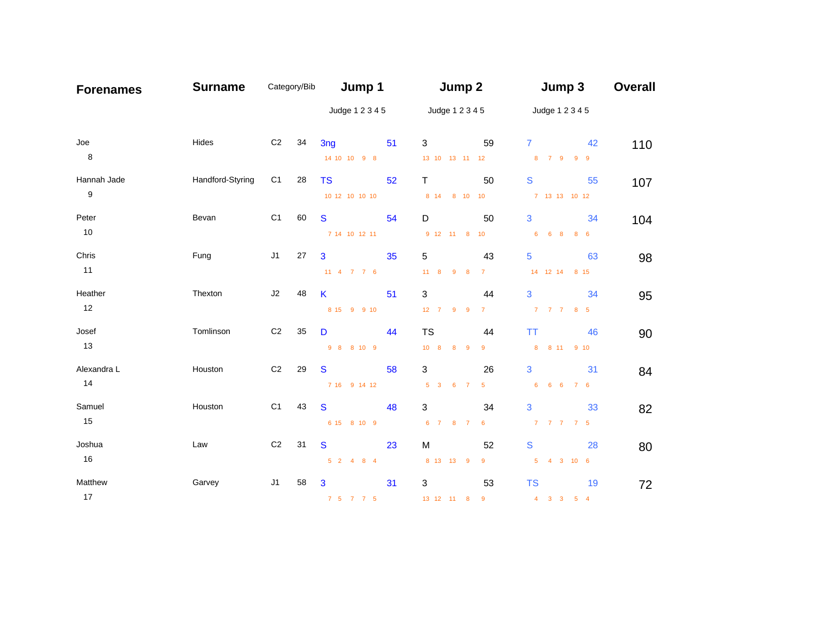| <b>Forenames</b> | <b>Surname</b>   | Category/Bib   |    | Jump 1                              |    | Jump 2                      |                | Jump 3                            | <b>Overall</b> |
|------------------|------------------|----------------|----|-------------------------------------|----|-----------------------------|----------------|-----------------------------------|----------------|
|                  |                  |                |    | Judge 1 2 3 4 5                     |    | Judge 1 2 3 4 5             |                | Judge 1 2 3 4 5                   |                |
| Joe              | Hides            | C <sub>2</sub> | 34 | 3 <sub>ng</sub>                     | 51 | 3                           | 59             | 42<br>$7^{\circ}$                 | 110            |
| $\bf 8$          |                  |                |    | 14 10 10 9 8                        |    | 13 10 13 11 12              |                | 8 7 9 9 9                         |                |
| Hannah Jade      | Handford-Styring | C1             | 28 | <b>TS</b>                           | 52 | $\mathsf{T}$                | 50             | S<br>55                           | 107            |
| $\boldsymbol{9}$ |                  |                |    | 10 12 10 10 10                      |    | 8 14 8 10 10                |                | 7 13 13 10 12                     |                |
| Peter            | Bevan            | C <sub>1</sub> | 60 | <sub>S</sub>                        | 54 | D                           | 50             | 3<br>34                           | 104            |
| 10               |                  |                |    | 7 14 10 12 11                       |    | 9 12 11 8 10                |                | 6 6 8 8 6                         |                |
| Chris            | Fung             | J1             | 27 | $\mathbf{3}$                        | 35 | 5                           | 43             | 5<br>63                           | 98             |
| 11               |                  |                |    | 11 4 7 7 6                          |    | $11 \quad 8$<br>$9 \quad 8$ | $7 -$          | 14 12 14 8 15                     |                |
| Heather          | Thexton          | J2             | 48 | K                                   | 51 | 3                           | 44             | 3<br>34                           | 95             |
| 12               |                  |                |    | 8 15 9 9 10                         |    | 12 7 9 9                    | 7 <sup>7</sup> | 7 7 7 8 5                         |                |
| Josef            | Tomlinson        | C <sub>2</sub> | 35 | D                                   | 44 | <b>TS</b>                   | 44             | <b>TT</b><br>46                   | 90             |
| 13               |                  |                |    | 9 8 8 10 9                          |    | 10 8 8 9                    | 9              | 8 8 11 9 10                       |                |
| Alexandra L      | Houston          | C <sub>2</sub> | 29 | S                                   | 58 | 3                           | 26             | 3<br>31                           | 84             |
| 14               |                  |                |    | 7 16 9 14 12                        |    | 5 3 6 7                     | 5 <sub>5</sub> | 6 6 6<br>7 6                      |                |
| Samuel           | Houston          | C <sub>1</sub> | 43 | <sub>S</sub>                        | 48 | $\mathbf{3}$                | 34             | 3<br>33                           | 82             |
| 15               |                  |                |    | 6 15 8 10 9                         |    | 6 7 8 7 6                   |                | 7 7 7 7 5                         |                |
| Joshua           | Law              | C <sub>2</sub> | 31 | S                                   | 23 | M                           | 52             | S<br>28                           | 80             |
| 16               |                  |                |    | $5 \quad 2 \quad 4 \quad 8 \quad 4$ |    | 8 13 13 9                   | 9              | 5 4 3 10 6                        |                |
| Matthew          | Garvey           | J1             | 58 | 3                                   | 31 | 3                           | 53             | <b>TS</b><br>19                   | 72             |
| 17               |                  |                |    | 7 5 7 7 5                           |    | 13 12 11 8                  | $\overline{9}$ | $4 \quad 3 \quad 3$<br>$5\quad 4$ |                |